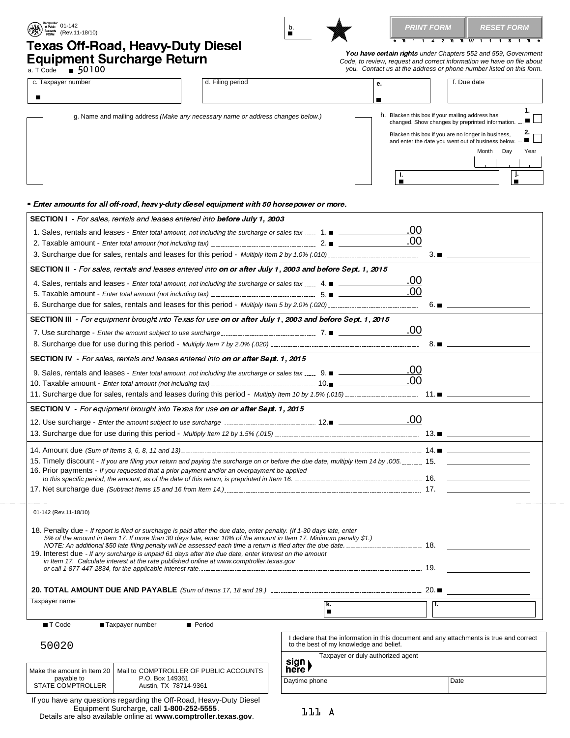| <b>Q 1 1 4 2 Q Q W 1 1 1 8 1 Q</b><br>Texas Off-Road, Heavy-Duty Diesel<br>You have certain rights under Chapters 552 and 559, Government<br>Equipment Surcharge Return<br>Code, to review, request and correct information we have on file about<br>you. Contact us at the address or phone number listed on this form.<br>d. Filing period<br>c. Taxpayer number<br>f. Due date<br>е.<br>п<br>h. Blacken this box if your mailing address has<br>g. Name and mailing address (Make any necessary name or address changes below.)<br>changed. Show changes by preprinted information. -<br>Blacken this box if you are no longer in business,<br>and enter the date you went out of business below. --<br>Month<br>Day<br>J.<br>j.<br>$\blacksquare$<br>п<br>• Enter amounts for all off-road, heavy-duty diesel equipment with 50 horsepower or more.<br><b>SECTION I</b> - For sales, rentals and leases entered into before July 1, 2003<br>.00<br>1. Sales, rentals and leases - Enter total amount, not including the surcharge or sales tax  1. $\blacksquare$<br>.00<br>3.<br>SECTION II - For sales, rentals and leases entered into on or after July 1, 2003 and before Sept. 1, 2015<br>.00<br>4. Sales, rentals and leases - Enter total amount, not including the surcharge or sales tax  4. $\blacksquare$<br>.00<br>$6. \blacksquare$<br>SECTION III - For equipment brought into Texas for use on or after July 1, 2003 and before Sept. 1, 2015<br>.00<br>8.<br><b>SECTION IV</b> - For sales, rentals and leases entered into <b>on or after Sept. 1, 2015</b><br>.00<br>9. Sales, rentals and leases - Enter total amount, not including the surcharge or sales tax  9. $\blacksquare$<br>.00<br><b>SECTION V</b> - For equipment brought into Texas for use on or after Sept. 1, 2015<br>.00<br>13. Surcharge due for use during this period - Multiply Item 12 by 1.5% (.015).<br>13.1<br>15. Timely discount - If you are filing your return and paying the surcharge on or before the due date, multiply Item 14 by .005 15.<br>16. Prior payments - If you requested that a prior payment and/or an overpayment be applied<br>01-142 (Rev.11-18/10)<br>18. Penalty due - If report is filed or surcharge is paid after the due date, enter penalty. (If 1-30 days late, enter<br>5% of the amount in Item 17. If more than 30 days late, enter 10% of the amount in Item 17. Minimum penalty \$1.)<br>19. Interest due - If any surcharge is unpaid 61 days after the due date, enter interest on the amount<br>in Item 17. Calculate interest at the rate published online at www.comptroller.texas.gov<br>Taxpayer name<br>k.<br>π.<br>$\blacksquare$<br>T Code<br>Taxpayer number<br>Period<br>I declare that the information in this document and any attachments is true and correct<br>to the best of my knowledge and belief.<br>50020<br>Taxpayer or duly authorized agent<br>sign)<br>here l<br>Make the amount in Item 20<br>Mail to COMPTROLLER OF PUBLIC ACCOUNTS<br>payable to<br>P.O. Box 149361<br>Date<br>Daytime phone<br>STATE COMPTROLLER<br>Austin, TX 78714-9361 | <b>EXAMPLE OF PUBLIC PROPERTY OF PUBLIC PROPERTY</b><br><b>AND ACCOUNT</b><br><b>CORMPLE (Rev.11-18/10)</b> | b.<br>$\blacksquare$ | PRINT FORM | <b>RESET FORM</b> |
|---------------------------------------------------------------------------------------------------------------------------------------------------------------------------------------------------------------------------------------------------------------------------------------------------------------------------------------------------------------------------------------------------------------------------------------------------------------------------------------------------------------------------------------------------------------------------------------------------------------------------------------------------------------------------------------------------------------------------------------------------------------------------------------------------------------------------------------------------------------------------------------------------------------------------------------------------------------------------------------------------------------------------------------------------------------------------------------------------------------------------------------------------------------------------------------------------------------------------------------------------------------------------------------------------------------------------------------------------------------------------------------------------------------------------------------------------------------------------------------------------------------------------------------------------------------------------------------------------------------------------------------------------------------------------------------------------------------------------------------------------------------------------------------------------------------------------------------------------------------------------------------------------------------------------------------------------------------------------------------------------------------------------------------------------------------------------------------------------------------------------------------------------------------------------------------------------------------------------------------------------------------------------------------------------------------------------------------------------------------------------------------------------------------------------------------------------------------------------------------------------------------------------------------------------------------------------------------------------------------------------------------------------------------------------------------------------------------------------------------------------------------------------------------------------------------------------------------------------------------------------------------------------------------------------------------------------------------------------------------------------------------------------------------------------------------------------------------------------------------|-------------------------------------------------------------------------------------------------------------|----------------------|------------|-------------------|
|                                                                                                                                                                                                                                                                                                                                                                                                                                                                                                                                                                                                                                                                                                                                                                                                                                                                                                                                                                                                                                                                                                                                                                                                                                                                                                                                                                                                                                                                                                                                                                                                                                                                                                                                                                                                                                                                                                                                                                                                                                                                                                                                                                                                                                                                                                                                                                                                                                                                                                                                                                                                                                                                                                                                                                                                                                                                                                                                                                                                                                                                                                               |                                                                                                             |                      |            |                   |
|                                                                                                                                                                                                                                                                                                                                                                                                                                                                                                                                                                                                                                                                                                                                                                                                                                                                                                                                                                                                                                                                                                                                                                                                                                                                                                                                                                                                                                                                                                                                                                                                                                                                                                                                                                                                                                                                                                                                                                                                                                                                                                                                                                                                                                                                                                                                                                                                                                                                                                                                                                                                                                                                                                                                                                                                                                                                                                                                                                                                                                                                                                               |                                                                                                             |                      |            |                   |
|                                                                                                                                                                                                                                                                                                                                                                                                                                                                                                                                                                                                                                                                                                                                                                                                                                                                                                                                                                                                                                                                                                                                                                                                                                                                                                                                                                                                                                                                                                                                                                                                                                                                                                                                                                                                                                                                                                                                                                                                                                                                                                                                                                                                                                                                                                                                                                                                                                                                                                                                                                                                                                                                                                                                                                                                                                                                                                                                                                                                                                                                                                               |                                                                                                             |                      |            |                   |
|                                                                                                                                                                                                                                                                                                                                                                                                                                                                                                                                                                                                                                                                                                                                                                                                                                                                                                                                                                                                                                                                                                                                                                                                                                                                                                                                                                                                                                                                                                                                                                                                                                                                                                                                                                                                                                                                                                                                                                                                                                                                                                                                                                                                                                                                                                                                                                                                                                                                                                                                                                                                                                                                                                                                                                                                                                                                                                                                                                                                                                                                                                               |                                                                                                             |                      |            |                   |
|                                                                                                                                                                                                                                                                                                                                                                                                                                                                                                                                                                                                                                                                                                                                                                                                                                                                                                                                                                                                                                                                                                                                                                                                                                                                                                                                                                                                                                                                                                                                                                                                                                                                                                                                                                                                                                                                                                                                                                                                                                                                                                                                                                                                                                                                                                                                                                                                                                                                                                                                                                                                                                                                                                                                                                                                                                                                                                                                                                                                                                                                                                               |                                                                                                             |                      |            | 1.<br>2.<br>Year  |
|                                                                                                                                                                                                                                                                                                                                                                                                                                                                                                                                                                                                                                                                                                                                                                                                                                                                                                                                                                                                                                                                                                                                                                                                                                                                                                                                                                                                                                                                                                                                                                                                                                                                                                                                                                                                                                                                                                                                                                                                                                                                                                                                                                                                                                                                                                                                                                                                                                                                                                                                                                                                                                                                                                                                                                                                                                                                                                                                                                                                                                                                                                               |                                                                                                             |                      |            |                   |
|                                                                                                                                                                                                                                                                                                                                                                                                                                                                                                                                                                                                                                                                                                                                                                                                                                                                                                                                                                                                                                                                                                                                                                                                                                                                                                                                                                                                                                                                                                                                                                                                                                                                                                                                                                                                                                                                                                                                                                                                                                                                                                                                                                                                                                                                                                                                                                                                                                                                                                                                                                                                                                                                                                                                                                                                                                                                                                                                                                                                                                                                                                               |                                                                                                             |                      |            |                   |
|                                                                                                                                                                                                                                                                                                                                                                                                                                                                                                                                                                                                                                                                                                                                                                                                                                                                                                                                                                                                                                                                                                                                                                                                                                                                                                                                                                                                                                                                                                                                                                                                                                                                                                                                                                                                                                                                                                                                                                                                                                                                                                                                                                                                                                                                                                                                                                                                                                                                                                                                                                                                                                                                                                                                                                                                                                                                                                                                                                                                                                                                                                               |                                                                                                             |                      |            |                   |
|                                                                                                                                                                                                                                                                                                                                                                                                                                                                                                                                                                                                                                                                                                                                                                                                                                                                                                                                                                                                                                                                                                                                                                                                                                                                                                                                                                                                                                                                                                                                                                                                                                                                                                                                                                                                                                                                                                                                                                                                                                                                                                                                                                                                                                                                                                                                                                                                                                                                                                                                                                                                                                                                                                                                                                                                                                                                                                                                                                                                                                                                                                               |                                                                                                             |                      |            |                   |
|                                                                                                                                                                                                                                                                                                                                                                                                                                                                                                                                                                                                                                                                                                                                                                                                                                                                                                                                                                                                                                                                                                                                                                                                                                                                                                                                                                                                                                                                                                                                                                                                                                                                                                                                                                                                                                                                                                                                                                                                                                                                                                                                                                                                                                                                                                                                                                                                                                                                                                                                                                                                                                                                                                                                                                                                                                                                                                                                                                                                                                                                                                               |                                                                                                             |                      |            |                   |
|                                                                                                                                                                                                                                                                                                                                                                                                                                                                                                                                                                                                                                                                                                                                                                                                                                                                                                                                                                                                                                                                                                                                                                                                                                                                                                                                                                                                                                                                                                                                                                                                                                                                                                                                                                                                                                                                                                                                                                                                                                                                                                                                                                                                                                                                                                                                                                                                                                                                                                                                                                                                                                                                                                                                                                                                                                                                                                                                                                                                                                                                                                               |                                                                                                             |                      |            |                   |
|                                                                                                                                                                                                                                                                                                                                                                                                                                                                                                                                                                                                                                                                                                                                                                                                                                                                                                                                                                                                                                                                                                                                                                                                                                                                                                                                                                                                                                                                                                                                                                                                                                                                                                                                                                                                                                                                                                                                                                                                                                                                                                                                                                                                                                                                                                                                                                                                                                                                                                                                                                                                                                                                                                                                                                                                                                                                                                                                                                                                                                                                                                               |                                                                                                             |                      |            |                   |
|                                                                                                                                                                                                                                                                                                                                                                                                                                                                                                                                                                                                                                                                                                                                                                                                                                                                                                                                                                                                                                                                                                                                                                                                                                                                                                                                                                                                                                                                                                                                                                                                                                                                                                                                                                                                                                                                                                                                                                                                                                                                                                                                                                                                                                                                                                                                                                                                                                                                                                                                                                                                                                                                                                                                                                                                                                                                                                                                                                                                                                                                                                               |                                                                                                             |                      |            |                   |
|                                                                                                                                                                                                                                                                                                                                                                                                                                                                                                                                                                                                                                                                                                                                                                                                                                                                                                                                                                                                                                                                                                                                                                                                                                                                                                                                                                                                                                                                                                                                                                                                                                                                                                                                                                                                                                                                                                                                                                                                                                                                                                                                                                                                                                                                                                                                                                                                                                                                                                                                                                                                                                                                                                                                                                                                                                                                                                                                                                                                                                                                                                               |                                                                                                             |                      |            |                   |
|                                                                                                                                                                                                                                                                                                                                                                                                                                                                                                                                                                                                                                                                                                                                                                                                                                                                                                                                                                                                                                                                                                                                                                                                                                                                                                                                                                                                                                                                                                                                                                                                                                                                                                                                                                                                                                                                                                                                                                                                                                                                                                                                                                                                                                                                                                                                                                                                                                                                                                                                                                                                                                                                                                                                                                                                                                                                                                                                                                                                                                                                                                               |                                                                                                             |                      |            |                   |
|                                                                                                                                                                                                                                                                                                                                                                                                                                                                                                                                                                                                                                                                                                                                                                                                                                                                                                                                                                                                                                                                                                                                                                                                                                                                                                                                                                                                                                                                                                                                                                                                                                                                                                                                                                                                                                                                                                                                                                                                                                                                                                                                                                                                                                                                                                                                                                                                                                                                                                                                                                                                                                                                                                                                                                                                                                                                                                                                                                                                                                                                                                               |                                                                                                             |                      |            |                   |
|                                                                                                                                                                                                                                                                                                                                                                                                                                                                                                                                                                                                                                                                                                                                                                                                                                                                                                                                                                                                                                                                                                                                                                                                                                                                                                                                                                                                                                                                                                                                                                                                                                                                                                                                                                                                                                                                                                                                                                                                                                                                                                                                                                                                                                                                                                                                                                                                                                                                                                                                                                                                                                                                                                                                                                                                                                                                                                                                                                                                                                                                                                               |                                                                                                             |                      |            |                   |
|                                                                                                                                                                                                                                                                                                                                                                                                                                                                                                                                                                                                                                                                                                                                                                                                                                                                                                                                                                                                                                                                                                                                                                                                                                                                                                                                                                                                                                                                                                                                                                                                                                                                                                                                                                                                                                                                                                                                                                                                                                                                                                                                                                                                                                                                                                                                                                                                                                                                                                                                                                                                                                                                                                                                                                                                                                                                                                                                                                                                                                                                                                               |                                                                                                             |                      |            |                   |
|                                                                                                                                                                                                                                                                                                                                                                                                                                                                                                                                                                                                                                                                                                                                                                                                                                                                                                                                                                                                                                                                                                                                                                                                                                                                                                                                                                                                                                                                                                                                                                                                                                                                                                                                                                                                                                                                                                                                                                                                                                                                                                                                                                                                                                                                                                                                                                                                                                                                                                                                                                                                                                                                                                                                                                                                                                                                                                                                                                                                                                                                                                               |                                                                                                             |                      |            |                   |
|                                                                                                                                                                                                                                                                                                                                                                                                                                                                                                                                                                                                                                                                                                                                                                                                                                                                                                                                                                                                                                                                                                                                                                                                                                                                                                                                                                                                                                                                                                                                                                                                                                                                                                                                                                                                                                                                                                                                                                                                                                                                                                                                                                                                                                                                                                                                                                                                                                                                                                                                                                                                                                                                                                                                                                                                                                                                                                                                                                                                                                                                                                               |                                                                                                             |                      |            |                   |
|                                                                                                                                                                                                                                                                                                                                                                                                                                                                                                                                                                                                                                                                                                                                                                                                                                                                                                                                                                                                                                                                                                                                                                                                                                                                                                                                                                                                                                                                                                                                                                                                                                                                                                                                                                                                                                                                                                                                                                                                                                                                                                                                                                                                                                                                                                                                                                                                                                                                                                                                                                                                                                                                                                                                                                                                                                                                                                                                                                                                                                                                                                               |                                                                                                             |                      |            |                   |
|                                                                                                                                                                                                                                                                                                                                                                                                                                                                                                                                                                                                                                                                                                                                                                                                                                                                                                                                                                                                                                                                                                                                                                                                                                                                                                                                                                                                                                                                                                                                                                                                                                                                                                                                                                                                                                                                                                                                                                                                                                                                                                                                                                                                                                                                                                                                                                                                                                                                                                                                                                                                                                                                                                                                                                                                                                                                                                                                                                                                                                                                                                               |                                                                                                             |                      |            |                   |
|                                                                                                                                                                                                                                                                                                                                                                                                                                                                                                                                                                                                                                                                                                                                                                                                                                                                                                                                                                                                                                                                                                                                                                                                                                                                                                                                                                                                                                                                                                                                                                                                                                                                                                                                                                                                                                                                                                                                                                                                                                                                                                                                                                                                                                                                                                                                                                                                                                                                                                                                                                                                                                                                                                                                                                                                                                                                                                                                                                                                                                                                                                               |                                                                                                             |                      |            |                   |
|                                                                                                                                                                                                                                                                                                                                                                                                                                                                                                                                                                                                                                                                                                                                                                                                                                                                                                                                                                                                                                                                                                                                                                                                                                                                                                                                                                                                                                                                                                                                                                                                                                                                                                                                                                                                                                                                                                                                                                                                                                                                                                                                                                                                                                                                                                                                                                                                                                                                                                                                                                                                                                                                                                                                                                                                                                                                                                                                                                                                                                                                                                               |                                                                                                             |                      |            |                   |
|                                                                                                                                                                                                                                                                                                                                                                                                                                                                                                                                                                                                                                                                                                                                                                                                                                                                                                                                                                                                                                                                                                                                                                                                                                                                                                                                                                                                                                                                                                                                                                                                                                                                                                                                                                                                                                                                                                                                                                                                                                                                                                                                                                                                                                                                                                                                                                                                                                                                                                                                                                                                                                                                                                                                                                                                                                                                                                                                                                                                                                                                                                               |                                                                                                             |                      |            |                   |
|                                                                                                                                                                                                                                                                                                                                                                                                                                                                                                                                                                                                                                                                                                                                                                                                                                                                                                                                                                                                                                                                                                                                                                                                                                                                                                                                                                                                                                                                                                                                                                                                                                                                                                                                                                                                                                                                                                                                                                                                                                                                                                                                                                                                                                                                                                                                                                                                                                                                                                                                                                                                                                                                                                                                                                                                                                                                                                                                                                                                                                                                                                               |                                                                                                             |                      |            |                   |
|                                                                                                                                                                                                                                                                                                                                                                                                                                                                                                                                                                                                                                                                                                                                                                                                                                                                                                                                                                                                                                                                                                                                                                                                                                                                                                                                                                                                                                                                                                                                                                                                                                                                                                                                                                                                                                                                                                                                                                                                                                                                                                                                                                                                                                                                                                                                                                                                                                                                                                                                                                                                                                                                                                                                                                                                                                                                                                                                                                                                                                                                                                               |                                                                                                             |                      |            |                   |
|                                                                                                                                                                                                                                                                                                                                                                                                                                                                                                                                                                                                                                                                                                                                                                                                                                                                                                                                                                                                                                                                                                                                                                                                                                                                                                                                                                                                                                                                                                                                                                                                                                                                                                                                                                                                                                                                                                                                                                                                                                                                                                                                                                                                                                                                                                                                                                                                                                                                                                                                                                                                                                                                                                                                                                                                                                                                                                                                                                                                                                                                                                               |                                                                                                             |                      |            |                   |
|                                                                                                                                                                                                                                                                                                                                                                                                                                                                                                                                                                                                                                                                                                                                                                                                                                                                                                                                                                                                                                                                                                                                                                                                                                                                                                                                                                                                                                                                                                                                                                                                                                                                                                                                                                                                                                                                                                                                                                                                                                                                                                                                                                                                                                                                                                                                                                                                                                                                                                                                                                                                                                                                                                                                                                                                                                                                                                                                                                                                                                                                                                               |                                                                                                             |                      |            |                   |
|                                                                                                                                                                                                                                                                                                                                                                                                                                                                                                                                                                                                                                                                                                                                                                                                                                                                                                                                                                                                                                                                                                                                                                                                                                                                                                                                                                                                                                                                                                                                                                                                                                                                                                                                                                                                                                                                                                                                                                                                                                                                                                                                                                                                                                                                                                                                                                                                                                                                                                                                                                                                                                                                                                                                                                                                                                                                                                                                                                                                                                                                                                               |                                                                                                             |                      |            |                   |
|                                                                                                                                                                                                                                                                                                                                                                                                                                                                                                                                                                                                                                                                                                                                                                                                                                                                                                                                                                                                                                                                                                                                                                                                                                                                                                                                                                                                                                                                                                                                                                                                                                                                                                                                                                                                                                                                                                                                                                                                                                                                                                                                                                                                                                                                                                                                                                                                                                                                                                                                                                                                                                                                                                                                                                                                                                                                                                                                                                                                                                                                                                               |                                                                                                             |                      |            |                   |
|                                                                                                                                                                                                                                                                                                                                                                                                                                                                                                                                                                                                                                                                                                                                                                                                                                                                                                                                                                                                                                                                                                                                                                                                                                                                                                                                                                                                                                                                                                                                                                                                                                                                                                                                                                                                                                                                                                                                                                                                                                                                                                                                                                                                                                                                                                                                                                                                                                                                                                                                                                                                                                                                                                                                                                                                                                                                                                                                                                                                                                                                                                               |                                                                                                             |                      |            |                   |
|                                                                                                                                                                                                                                                                                                                                                                                                                                                                                                                                                                                                                                                                                                                                                                                                                                                                                                                                                                                                                                                                                                                                                                                                                                                                                                                                                                                                                                                                                                                                                                                                                                                                                                                                                                                                                                                                                                                                                                                                                                                                                                                                                                                                                                                                                                                                                                                                                                                                                                                                                                                                                                                                                                                                                                                                                                                                                                                                                                                                                                                                                                               |                                                                                                             |                      |            |                   |
|                                                                                                                                                                                                                                                                                                                                                                                                                                                                                                                                                                                                                                                                                                                                                                                                                                                                                                                                                                                                                                                                                                                                                                                                                                                                                                                                                                                                                                                                                                                                                                                                                                                                                                                                                                                                                                                                                                                                                                                                                                                                                                                                                                                                                                                                                                                                                                                                                                                                                                                                                                                                                                                                                                                                                                                                                                                                                                                                                                                                                                                                                                               |                                                                                                             |                      |            |                   |
|                                                                                                                                                                                                                                                                                                                                                                                                                                                                                                                                                                                                                                                                                                                                                                                                                                                                                                                                                                                                                                                                                                                                                                                                                                                                                                                                                                                                                                                                                                                                                                                                                                                                                                                                                                                                                                                                                                                                                                                                                                                                                                                                                                                                                                                                                                                                                                                                                                                                                                                                                                                                                                                                                                                                                                                                                                                                                                                                                                                                                                                                                                               |                                                                                                             |                      |            |                   |
|                                                                                                                                                                                                                                                                                                                                                                                                                                                                                                                                                                                                                                                                                                                                                                                                                                                                                                                                                                                                                                                                                                                                                                                                                                                                                                                                                                                                                                                                                                                                                                                                                                                                                                                                                                                                                                                                                                                                                                                                                                                                                                                                                                                                                                                                                                                                                                                                                                                                                                                                                                                                                                                                                                                                                                                                                                                                                                                                                                                                                                                                                                               |                                                                                                             |                      |            |                   |
|                                                                                                                                                                                                                                                                                                                                                                                                                                                                                                                                                                                                                                                                                                                                                                                                                                                                                                                                                                                                                                                                                                                                                                                                                                                                                                                                                                                                                                                                                                                                                                                                                                                                                                                                                                                                                                                                                                                                                                                                                                                                                                                                                                                                                                                                                                                                                                                                                                                                                                                                                                                                                                                                                                                                                                                                                                                                                                                                                                                                                                                                                                               |                                                                                                             |                      |            |                   |
|                                                                                                                                                                                                                                                                                                                                                                                                                                                                                                                                                                                                                                                                                                                                                                                                                                                                                                                                                                                                                                                                                                                                                                                                                                                                                                                                                                                                                                                                                                                                                                                                                                                                                                                                                                                                                                                                                                                                                                                                                                                                                                                                                                                                                                                                                                                                                                                                                                                                                                                                                                                                                                                                                                                                                                                                                                                                                                                                                                                                                                                                                                               |                                                                                                             |                      |            |                   |
|                                                                                                                                                                                                                                                                                                                                                                                                                                                                                                                                                                                                                                                                                                                                                                                                                                                                                                                                                                                                                                                                                                                                                                                                                                                                                                                                                                                                                                                                                                                                                                                                                                                                                                                                                                                                                                                                                                                                                                                                                                                                                                                                                                                                                                                                                                                                                                                                                                                                                                                                                                                                                                                                                                                                                                                                                                                                                                                                                                                                                                                                                                               |                                                                                                             |                      |            |                   |
|                                                                                                                                                                                                                                                                                                                                                                                                                                                                                                                                                                                                                                                                                                                                                                                                                                                                                                                                                                                                                                                                                                                                                                                                                                                                                                                                                                                                                                                                                                                                                                                                                                                                                                                                                                                                                                                                                                                                                                                                                                                                                                                                                                                                                                                                                                                                                                                                                                                                                                                                                                                                                                                                                                                                                                                                                                                                                                                                                                                                                                                                                                               |                                                                                                             |                      |            |                   |
|                                                                                                                                                                                                                                                                                                                                                                                                                                                                                                                                                                                                                                                                                                                                                                                                                                                                                                                                                                                                                                                                                                                                                                                                                                                                                                                                                                                                                                                                                                                                                                                                                                                                                                                                                                                                                                                                                                                                                                                                                                                                                                                                                                                                                                                                                                                                                                                                                                                                                                                                                                                                                                                                                                                                                                                                                                                                                                                                                                                                                                                                                                               |                                                                                                             |                      |            |                   |
|                                                                                                                                                                                                                                                                                                                                                                                                                                                                                                                                                                                                                                                                                                                                                                                                                                                                                                                                                                                                                                                                                                                                                                                                                                                                                                                                                                                                                                                                                                                                                                                                                                                                                                                                                                                                                                                                                                                                                                                                                                                                                                                                                                                                                                                                                                                                                                                                                                                                                                                                                                                                                                                                                                                                                                                                                                                                                                                                                                                                                                                                                                               |                                                                                                             |                      |            |                   |
| If you have any questions regarding the Off-Road, Heavy-Duty Diesel                                                                                                                                                                                                                                                                                                                                                                                                                                                                                                                                                                                                                                                                                                                                                                                                                                                                                                                                                                                                                                                                                                                                                                                                                                                                                                                                                                                                                                                                                                                                                                                                                                                                                                                                                                                                                                                                                                                                                                                                                                                                                                                                                                                                                                                                                                                                                                                                                                                                                                                                                                                                                                                                                                                                                                                                                                                                                                                                                                                                                                           |                                                                                                             |                      |            |                   |

Details are also available online at **www.comptroller.texas.gov**.